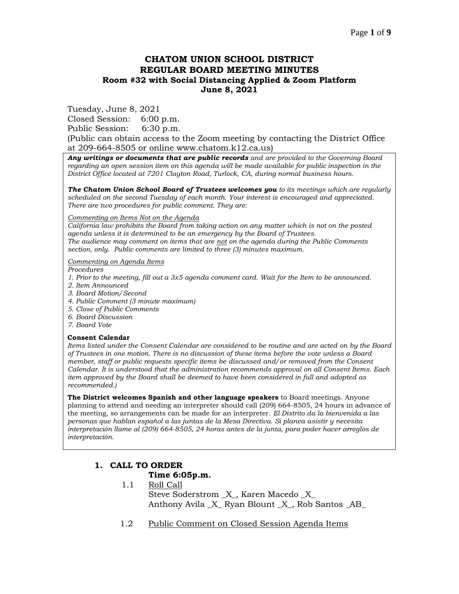## **CHATOM UNION SCHOOL DISTRICT REGULAR BOARD MEETING MINUTES Room #32 with Social Distancing Applied & Zoom Platform June 8, 2021**

Tuesday, June 8, 2021

Closed Session: 6:00 p.m.

Public Session: 6:30 p.m.

(Public can obtain access to the Zoom meeting by contacting the District Office at 209-664-8505 or online www.chatom.k12.ca.us)

*Any writings or documents that are public records and are provided to the Governing Board regarding an open session item on this agenda will be made available for public inspection in the District Office located at 7201 Clayton Road, Turlock, CA, during normal business hours.*

*The Chatom Union School Board of Trustees welcomes you to its meetings which are regularly scheduled on the second Tuesday of each month. Your interest is encouraged and appreciated. There are two procedures for public comment. They are:*

#### *Commenting on Items Not on the Agenda*

*California law prohibits the Board from taking action on any matter which is not on the posted agenda unless it is determined to be an emergency by the Board of Trustees. The audience may comment on items that are not on the agenda during the Public Comments section, only. Public comments are limited to three (3) minutes maximum.*

#### *Commenting on Agenda Items*

*Procedures* 

- *1. Prior to the meeting, fill out a 3x5 agenda comment card. Wait for the Item to be announced.*
- *2. Item Announced*
- *3. Board Motion/Second*
- *4. Public Comment (3 minute maximum)*
- *5. Close of Public Comments*
- *6. Board Discussion*
- *7. Board Vote*

#### **Consent Calendar**

*Items listed under the Consent Calendar are considered to be routine and are acted on by the Board of Trustees in one motion. There is no discussion of these items before the vote unless a Board member, staff or public requests specific items be discussed and/or removed from the Consent Calendar. It is understood that the administration recommends approval on all Consent Items. Each item approved by the Board shall be deemed to have been considered in full and adopted as recommended.)*

**The District welcomes Spanish and other language speakers** to Board meetings. Anyone planning to attend and needing an interpreter should call (209) 664-8505, 24 hours in advance of the meeting, so arrangements can be made for an interpreter. *El Distrito da la bienvenida a las personas que hablan español a las juntas de la Mesa Directiva. Si planea asistir y necesita interpretación llame al (209) 664-8505, 24 horas antes de la junta, para poder hacer arreglos de interpretación.*

# **1. CALL TO ORDER**

### **Time 6:05p.m.**

- 1.1 Roll Call Steve Soderstrom \_X\_, Karen Macedo \_X\_ Anthony Avila X Ryan Blount X, Rob Santos AB
- 1.2 Public Comment on Closed Session Agenda Items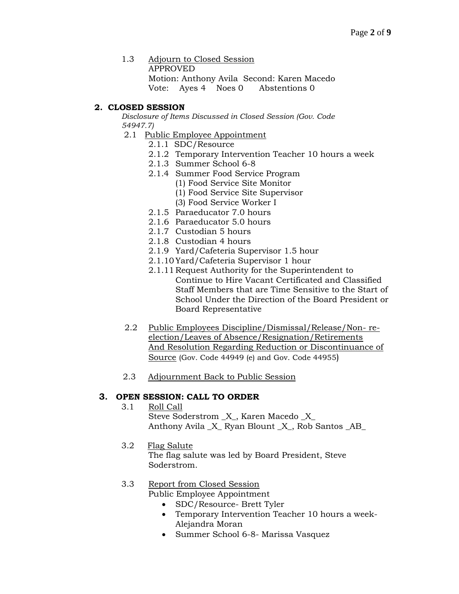1.3 Adjourn to Closed Session APPROVED Motion: Anthony Avila Second: Karen Macedo Vote: Ayes 4 Noes 0 Abstentions 0

## **2. CLOSED SESSION**

*Disclosure of Items Discussed in Closed Session (Gov. Code 54947.7)*

- 2.1 Public Employee Appointment
	- 2.1.1 SDC/Resource
	- 2.1.2 Temporary Intervention Teacher 10 hours a week
	- 2.1.3 Summer School 6-8
	- 2.1.4 Summer Food Service Program
		- (1) Food Service Site Monitor
		- (1) Food Service Site Supervisor
		- (3) Food Service Worker I
	- 2.1.5 Paraeducator 7.0 hours
	- 2.1.6 Paraeducator 5.0 hours
	- 2.1.7 Custodian 5 hours
	- 2.1.8 Custodian 4 hours
	- 2.1.9 Yard/Cafeteria Supervisor 1.5 hour
	- 2.1.10Yard/Cafeteria Supervisor 1 hour
	- 2.1.11 Request Authority for the Superintendent to Continue to Hire Vacant Certificated and Classified Staff Members that are Time Sensitive to the Start of School Under the Direction of the Board President or Board Representative
- 2.2 Public Employees Discipline/Dismissal/Release/Non- reelection/Leaves of Absence/Resignation/Retirements And Resolution Regarding Reduction or Discontinuance of Source (Gov. Code 44949 (e) and Gov. Code 44955)
- 2.3 Adjournment Back to Public Session

## **3. OPEN SESSION: CALL TO ORDER**

- 3.1 Roll Call Steve Soderstrom \_X\_, Karen Macedo \_X\_ Anthony Avila \_X\_ Ryan Blount \_X\_, Rob Santos \_AB\_
- 3.2 Flag Salute
	- The flag salute was led by Board President, Steve Soderstrom.

## 3.3 Report from Closed Session

Public Employee Appointment

- SDC/Resource- Brett Tyler
- Temporary Intervention Teacher 10 hours a week-Alejandra Moran
- Summer School 6-8- Marissa Vasquez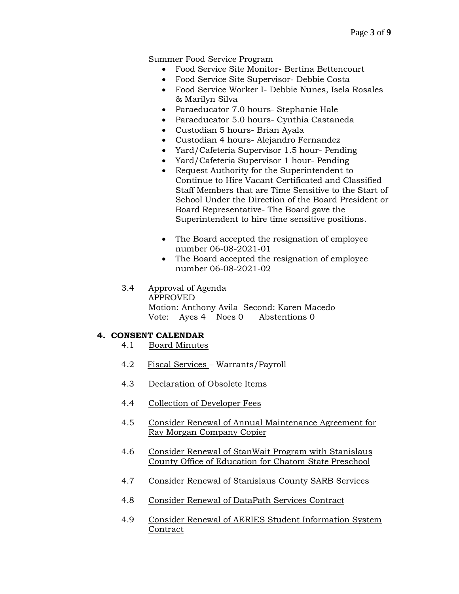Summer Food Service Program

- Food Service Site Monitor- Bertina Bettencourt
- Food Service Site Supervisor- Debbie Costa
- Food Service Worker I- Debbie Nunes, Isela Rosales & Marilyn Silva
- Paraeducator 7.0 hours- Stephanie Hale
- Paraeducator 5.0 hours- Cynthia Castaneda
- Custodian 5 hours- Brian Ayala
- Custodian 4 hours- Alejandro Fernandez
- Yard/Cafeteria Supervisor 1.5 hour- Pending
- Yard/Cafeteria Supervisor 1 hour- Pending
- Request Authority for the Superintendent to Continue to Hire Vacant Certificated and Classified Staff Members that are Time Sensitive to the Start of School Under the Direction of the Board President or Board Representative- The Board gave the Superintendent to hire time sensitive positions.
- The Board accepted the resignation of employee number 06-08-2021-01
- The Board accepted the resignation of employee number 06-08-2021-02
- 3.4 Approval of Agenda APPROVED

Motion: Anthony Avila Second: Karen Macedo Vote: Ayes 4 Noes 0 Abstentions 0

## **4. CONSENT CALENDAR**

- 4.1 Board Minutes
- 4.2 Fiscal Services Warrants/Payroll
- 4.3 Declaration of Obsolete Items
- 4.4 Collection of Developer Fees
- 4.5 Consider Renewal of Annual Maintenance Agreement for Ray Morgan Company Copier
- 4.6 Consider Renewal of StanWait Program with Stanislaus County Office of Education for Chatom State Preschool
- 4.7 Consider Renewal of Stanislaus County SARB Services
- 4.8 Consider Renewal of DataPath Services Contract
- 4.9 Consider Renewal of AERIES Student Information System Contract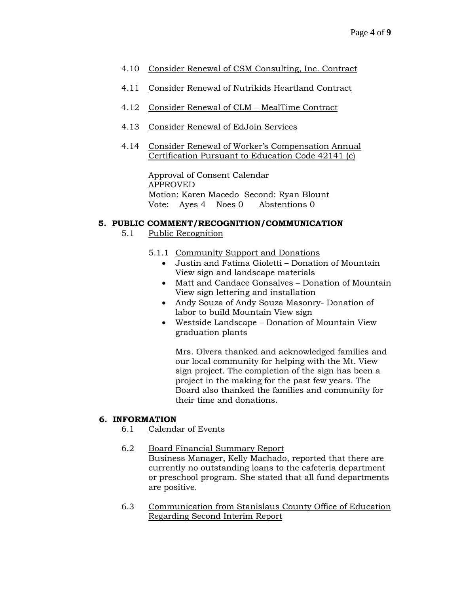- 4.10 Consider Renewal of CSM Consulting, Inc. Contract
- 4.11 Consider Renewal of Nutrikids Heartland Contract
- 4.12 Consider Renewal of CLM MealTime Contract
- 4.13 Consider Renewal of EdJoin Services
- 4.14 Consider Renewal of Worker's Compensation Annual Certification Pursuant to Education Code 42141 (c)

Approval of Consent Calendar APPROVED Motion: Karen Macedo Second: Ryan Blount Vote: Ayes 4 Noes 0 Abstentions 0

### **5. PUBLIC COMMENT/RECOGNITION/COMMUNICATION**

- 5.1 Public Recognition
	- 5.1.1 Community Support and Donations
		- Justin and Fatima Gioletti Donation of Mountain View sign and landscape materials
		- Matt and Candace Gonsalves Donation of Mountain View sign lettering and installation
		- Andy Souza of Andy Souza Masonry- Donation of labor to build Mountain View sign
		- Westside Landscape Donation of Mountain View graduation plants

Mrs. Olvera thanked and acknowledged families and our local community for helping with the Mt. View sign project. The completion of the sign has been a project in the making for the past few years. The Board also thanked the families and community for their time and donations.

### **6. INFORMATION**

- 6.1 Calendar of Events
- 6.2 Board Financial Summary Report Business Manager, Kelly Machado, reported that there are

currently no outstanding loans to the cafeteria department or preschool program. She stated that all fund departments are positive.

6.3 Communication from Stanislaus County Office of Education Regarding Second Interim Report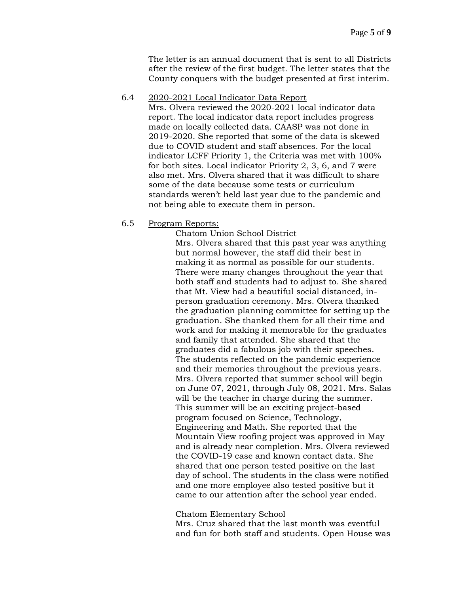The letter is an annual document that is sent to all Districts after the review of the first budget. The letter states that the County conquers with the budget presented at first interim.

6.4 2020-2021 Local Indicator Data Report

Mrs. Olvera reviewed the 2020-2021 local indicator data report. The local indicator data report includes progress made on locally collected data. CAASP was not done in 2019-2020. She reported that some of the data is skewed due to COVID student and staff absences. For the local indicator LCFF Priority 1, the Criteria was met with 100% for both sites. Local indicator Priority 2, 3, 6, and 7 were also met. Mrs. Olvera shared that it was difficult to share some of the data because some tests or curriculum standards weren't held last year due to the pandemic and not being able to execute them in person.

6.5 Program Reports:

Chatom Union School District Mrs. Olvera shared that this past year was anything but normal however, the staff did their best in making it as normal as possible for our students. There were many changes throughout the year that both staff and students had to adjust to. She shared that Mt. View had a beautiful social distanced, inperson graduation ceremony. Mrs. Olvera thanked the graduation planning committee for setting up the graduation. She thanked them for all their time and work and for making it memorable for the graduates and family that attended. She shared that the graduates did a fabulous job with their speeches. The students reflected on the pandemic experience and their memories throughout the previous years. Mrs. Olvera reported that summer school will begin on June 07, 2021, through July 08, 2021. Mrs. Salas will be the teacher in charge during the summer. This summer will be an exciting project-based program focused on Science, Technology, Engineering and Math. She reported that the Mountain View roofing project was approved in May and is already near completion. Mrs. Olvera reviewed the COVID-19 case and known contact data. She shared that one person tested positive on the last day of school. The students in the class were notified and one more employee also tested positive but it came to our attention after the school year ended.

#### Chatom Elementary School

Mrs. Cruz shared that the last month was eventful and fun for both staff and students. Open House was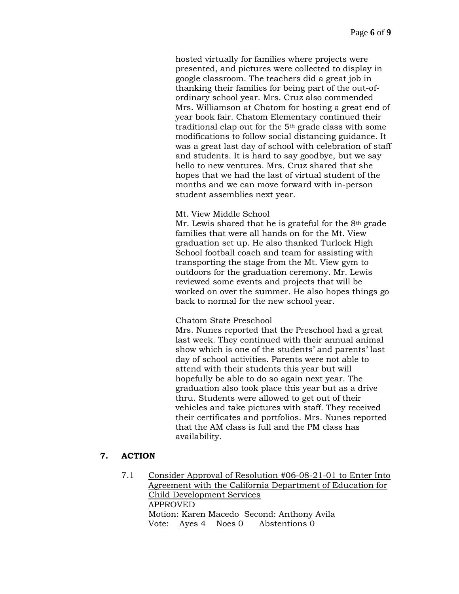hosted virtually for families where projects were presented, and pictures were collected to display in google classroom. The teachers did a great job in thanking their families for being part of the out-ofordinary school year. Mrs. Cruz also commended Mrs. Williamson at Chatom for hosting a great end of year book fair. Chatom Elementary continued their traditional clap out for the  $5<sup>th</sup>$  grade class with some modifications to follow social distancing guidance. It was a great last day of school with celebration of staff and students. It is hard to say goodbye, but we say hello to new ventures. Mrs. Cruz shared that she hopes that we had the last of virtual student of the months and we can move forward with in-person student assemblies next year.

#### Mt. View Middle School

Mr. Lewis shared that he is grateful for the  $8<sup>th</sup>$  grade families that were all hands on for the Mt. View graduation set up. He also thanked Turlock High School football coach and team for assisting with transporting the stage from the Mt. View gym to outdoors for the graduation ceremony. Mr. Lewis reviewed some events and projects that will be worked on over the summer. He also hopes things go back to normal for the new school year.

### Chatom State Preschool

Mrs. Nunes reported that the Preschool had a great last week. They continued with their annual animal show which is one of the students' and parents' last day of school activities. Parents were not able to attend with their students this year but will hopefully be able to do so again next year. The graduation also took place this year but as a drive thru. Students were allowed to get out of their vehicles and take pictures with staff. They received their certificates and portfolios. Mrs. Nunes reported that the AM class is full and the PM class has availability.

### **7. ACTION**

7.1 Consider Approval of Resolution #06-08-21-01 to Enter Into Agreement with the California Department of Education for Child Development Services APPROVED Motion: Karen Macedo Second: Anthony Avila Vote: Ayes 4 Noes 0 Abstentions 0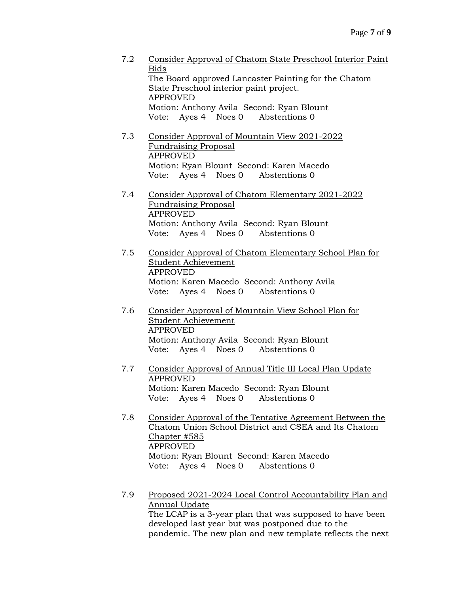7.2 Consider Approval of Chatom State Preschool Interior Paint Bids The Board approved Lancaster Painting for the Chatom State Preschool interior paint project. APPROVED Motion: Anthony Avila Second: Ryan Blount Vote: Ayes 4 Noes 0 Abstentions 0 7.3 Consider Approval of Mountain View 2021-2022 Fundraising Proposal APPROVED Motion: Ryan Blount Second: Karen Macedo Vote: Ayes 4 Noes 0 Abstentions 0 7.4 Consider Approval of Chatom Elementary 2021-2022 Fundraising Proposal APPROVED Motion: Anthony Avila Second: Ryan Blount Vote: Ayes 4 Noes 0 Abstentions 0 7.5 Consider Approval of Chatom Elementary School Plan for Student Achievement APPROVED Motion: Karen Macedo Second: Anthony Avila Vote: Ayes 4 Noes 0 Abstentions 0 7.6 Consider Approval of Mountain View School Plan for Student Achievement APPROVED Motion: Anthony Avila Second: Ryan Blount Vote: Ayes 4 Noes 0 Abstentions 0 7.7 Consider Approval of Annual Title III Local Plan Update APPROVED Motion: Karen Macedo Second: Ryan Blount Vote: Ayes 4 Noes 0 Abstentions 0 7.8 Consider Approval of the Tentative Agreement Between the Chatom Union School District and CSEA and Its Chatom Chapter #585 APPROVED Motion: Ryan Blount Second: Karen Macedo Vote: Ayes 4 Noes 0 Abstentions 0 7.9 Proposed 2021-2024 Local Control Accountability Plan and Annual Update The LCAP is a 3-year plan that was supposed to have been developed last year but was postponed due to the pandemic. The new plan and new template reflects the next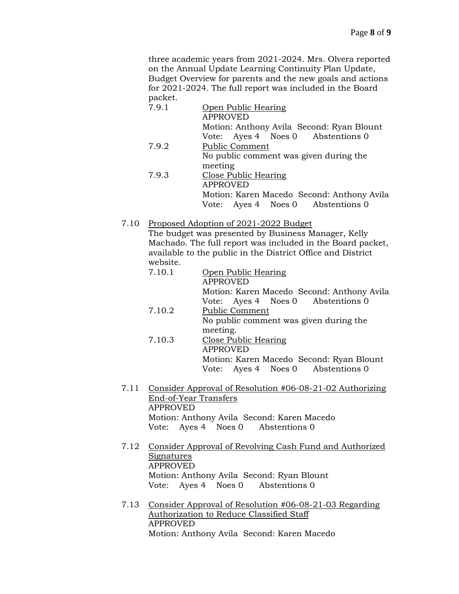three academic years from 2021-2024. Mrs. Olvera reported on the Annual Update Learning Continuity Plan Update, Budget Overview for parents and the new goals and actions for 2021-2024. The full report was included in the Board packet.

| 7.9.1 | Open Public Hearing<br><b>APPROVED</b>     |
|-------|--------------------------------------------|
|       | Motion: Anthony Avila Second: Ryan Blount  |
|       | Vote: Ayes 4 Noes 0 Abstentions 0          |
| 7.9.2 | <b>Public Comment</b>                      |
|       | No public comment was given during the     |
|       | meeting                                    |
| 7.9.3 | <b>Close Public Hearing</b>                |
|       | <b>APPROVED</b>                            |
|       | Motion: Karen Macedo Second: Anthony Avila |
|       | Vote: Ayes 4 Noes 0 Abstentions 0          |

7.10 Proposed Adoption of 2021-2022 Budget

The budget was presented by Business Manager, Kelly Machado. The full report was included in the Board packet, available to the public in the District Office and District website.

| 7.10.1 | Open Public Hearing                        |
|--------|--------------------------------------------|
|        | <b>APPROVED</b>                            |
|        | Motion: Karen Macedo Second: Anthony Avila |
|        | Vote: Ayes 4 Noes 0 Abstentions 0          |
| 7.10.2 | <b>Public Comment</b>                      |
|        | No public comment was given during the     |
|        | meeting.                                   |
| 7.10.3 | Close Public Hearing                       |
|        | <b>APPROVED</b>                            |
|        | Motion: Karen Macedo Second: Ryan Blount   |
|        | Vote: Ayes 4 Noes 0 Abstentions 0          |

- 7.11 Consider Approval of Resolution #06-08-21-02 Authorizing End-of-Year Transfers APPROVED Motion: Anthony Avila Second: Karen Macedo Vote: Ayes 4 Noes 0 Abstentions 0
- 7.12 Consider Approval of Revolving Cash Fund and Authorized **Signatures** APPROVED Motion: Anthony Avila Second: Ryan Blount Vote: Ayes 4 Noes 0 Abstentions 0
- 7.13 Consider Approval of Resolution #06-08-21-03 Regarding Authorization to Reduce Classified Staff APPROVED Motion: Anthony Avila Second: Karen Macedo